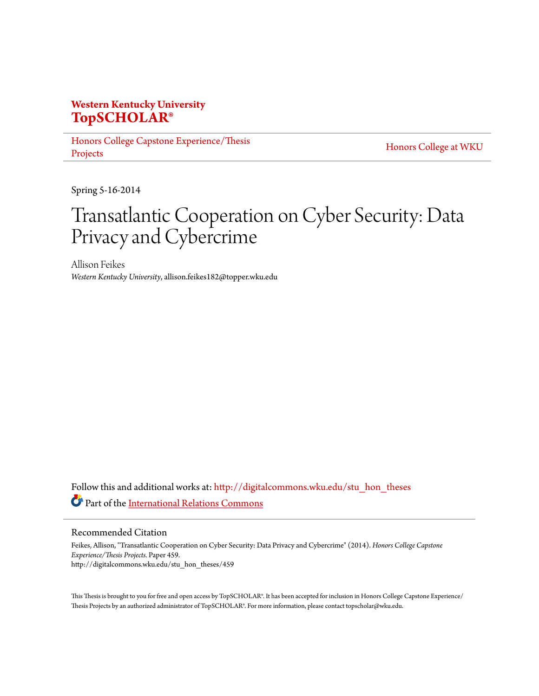# **Western Kentucky University [TopSCHOLAR®](http://digitalcommons.wku.edu?utm_source=digitalcommons.wku.edu%2Fstu_hon_theses%2F459&utm_medium=PDF&utm_campaign=PDFCoverPages)**

[Honors College Capstone Experience/Thesis](http://digitalcommons.wku.edu/stu_hon_theses?utm_source=digitalcommons.wku.edu%2Fstu_hon_theses%2F459&utm_medium=PDF&utm_campaign=PDFCoverPages) [Projects](http://digitalcommons.wku.edu/stu_hon_theses?utm_source=digitalcommons.wku.edu%2Fstu_hon_theses%2F459&utm_medium=PDF&utm_campaign=PDFCoverPages)

[Honors College at WKU](http://digitalcommons.wku.edu/honors_prog?utm_source=digitalcommons.wku.edu%2Fstu_hon_theses%2F459&utm_medium=PDF&utm_campaign=PDFCoverPages)

Spring 5-16-2014

# Transatlantic Cooperation on Cyber Security: Data Privacy and Cybercrime

Allison Feikes *Western Kentucky University*, allison.feikes182@topper.wku.edu

Follow this and additional works at: [http://digitalcommons.wku.edu/stu\\_hon\\_theses](http://digitalcommons.wku.edu/stu_hon_theses?utm_source=digitalcommons.wku.edu%2Fstu_hon_theses%2F459&utm_medium=PDF&utm_campaign=PDFCoverPages) Part of the [International Relations Commons](http://network.bepress.com/hgg/discipline/389?utm_source=digitalcommons.wku.edu%2Fstu_hon_theses%2F459&utm_medium=PDF&utm_campaign=PDFCoverPages)

Recommended Citation

Feikes, Allison, "Transatlantic Cooperation on Cyber Security: Data Privacy and Cybercrime" (2014). *Honors College Capstone Experience/Thesis Projects.* Paper 459. http://digitalcommons.wku.edu/stu\_hon\_theses/459

This Thesis is brought to you for free and open access by TopSCHOLAR®. It has been accepted for inclusion in Honors College Capstone Experience/ Thesis Projects by an authorized administrator of TopSCHOLAR®. For more information, please contact topscholar@wku.edu.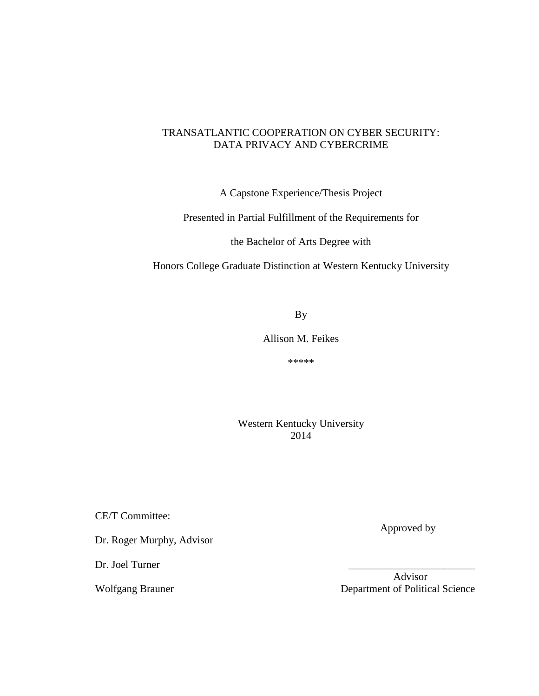# TRANSATLANTIC COOPERATION ON CYBER SECURITY: DATA PRIVACY AND CYBERCRIME

A Capstone Experience/Thesis Project

Presented in Partial Fulfillment of the Requirements for

the Bachelor of Arts Degree with

Honors College Graduate Distinction at Western Kentucky University

By

Allison M. Feikes

\*\*\*\*\*

Western Kentucky University 2014

CE/T Committee:

Dr. Roger Murphy, Advisor

Dr. Joel Turner

Approved by

 Advisor Wolfgang Brauner **Department of Political Science**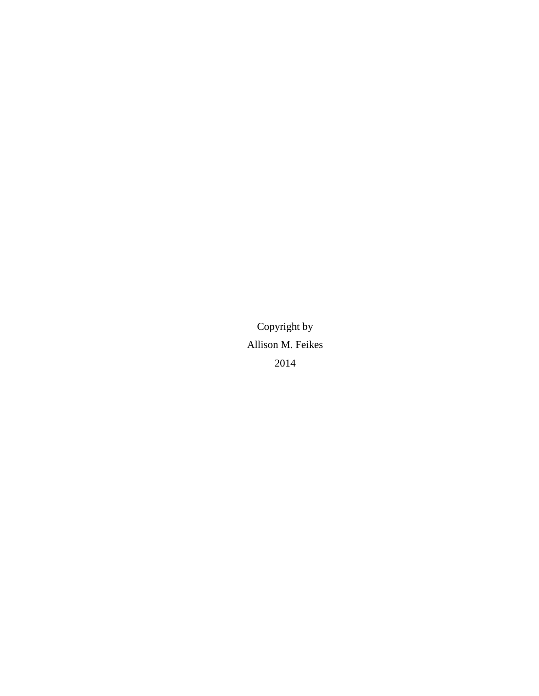Copyright by Allison M. Feikes 2014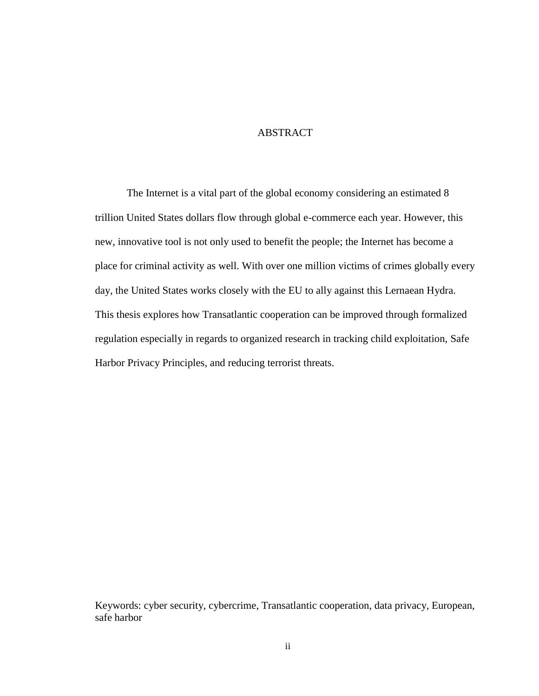## **ABSTRACT**

The Internet is a vital part of the global economy considering an estimated 8 trillion United States dollars flow through global e-commerce each year. However, this new, innovative tool is not only used to benefit the people; the Internet has become a place for criminal activity as well. With over one million victims of crimes globally every day, the United States works closely with the EU to ally against this Lernaean Hydra. This thesis explores how Transatlantic cooperation can be improved through formalized regulation especially in regards to organized research in tracking child exploitation, Safe Harbor Privacy Principles, and reducing terrorist threats.

Keywords: cyber security, cybercrime, Transatlantic cooperation, data privacy, European, safe harbor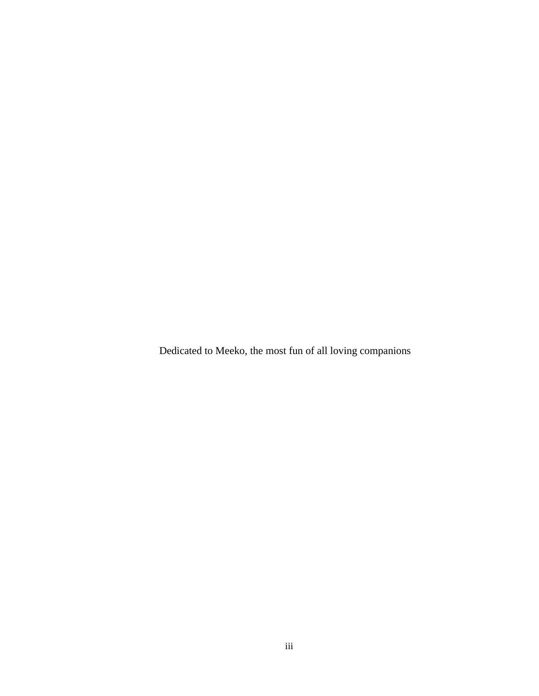Dedicated to Meeko, the most fun of all loving companions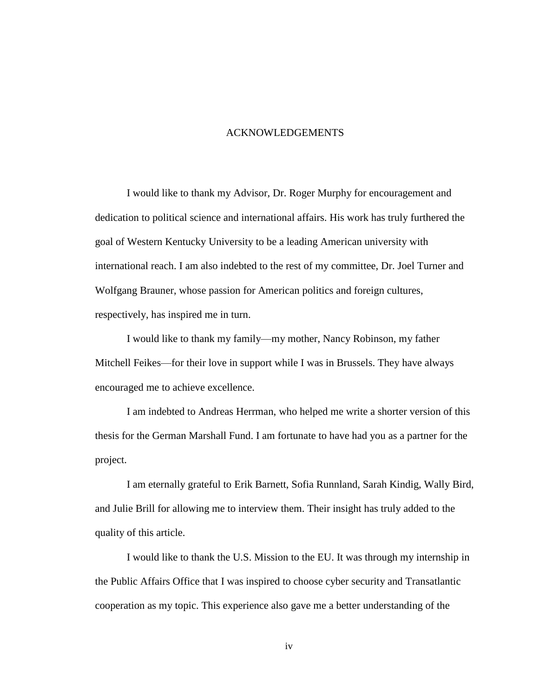#### ACKNOWLEDGEMENTS

I would like to thank my Advisor, Dr. Roger Murphy for encouragement and dedication to political science and international affairs. His work has truly furthered the goal of Western Kentucky University to be a leading American university with international reach. I am also indebted to the rest of my committee, Dr. Joel Turner and Wolfgang Brauner, whose passion for American politics and foreign cultures, respectively, has inspired me in turn.

I would like to thank my family—my mother, Nancy Robinson, my father Mitchell Feikes—for their love in support while I was in Brussels. They have always encouraged me to achieve excellence.

I am indebted to Andreas Herrman, who helped me write a shorter version of this thesis for the German Marshall Fund. I am fortunate to have had you as a partner for the project.

I am eternally grateful to Erik Barnett, Sofia Runnland, Sarah Kindig, Wally Bird, and Julie Brill for allowing me to interview them. Their insight has truly added to the quality of this article.

I would like to thank the U.S. Mission to the EU. It was through my internship in the Public Affairs Office that I was inspired to choose cyber security and Transatlantic cooperation as my topic. This experience also gave me a better understanding of the

iv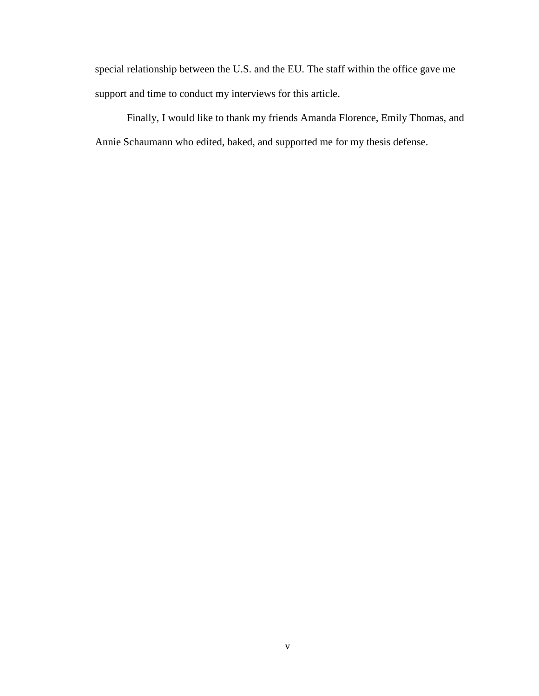special relationship between the U.S. and the EU. The staff within the office gave me support and time to conduct my interviews for this article.

Finally, I would like to thank my friends Amanda Florence, Emily Thomas, and Annie Schaumann who edited, baked, and supported me for my thesis defense.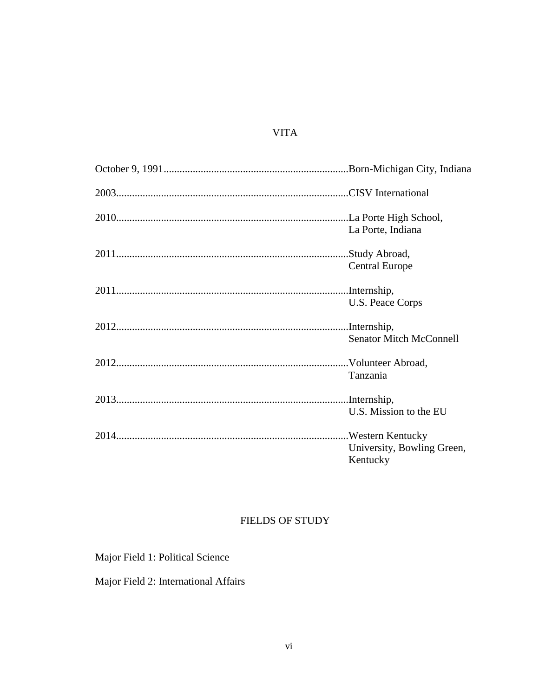# VITA

| La Porte, Indiana                      |
|----------------------------------------|
| <b>Central Europe</b>                  |
| U.S. Peace Corps                       |
| <b>Senator Mitch McConnell</b>         |
| Tanzania                               |
| U.S. Mission to the EU                 |
| University, Bowling Green,<br>Kentucky |

# FIELDS OF STUDY

Major Field 1: Political Science

Major Field 2: International Affairs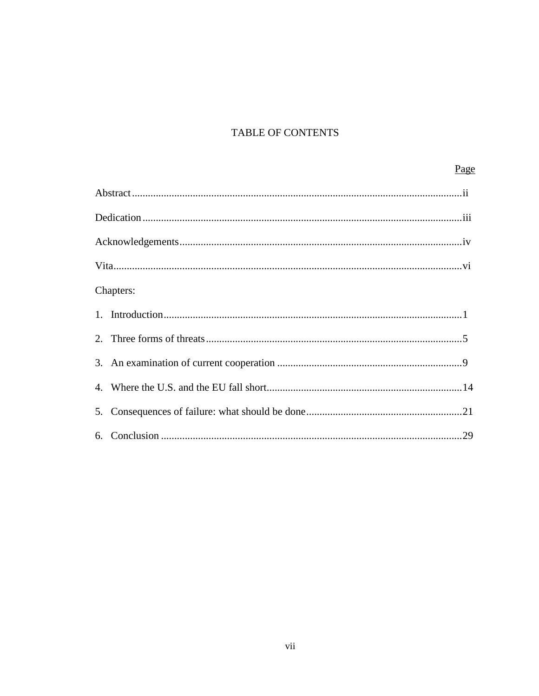# TABLE OF CONTENTS

# Page

| Chapters: |
|-----------|
|           |
|           |
|           |
|           |
|           |
|           |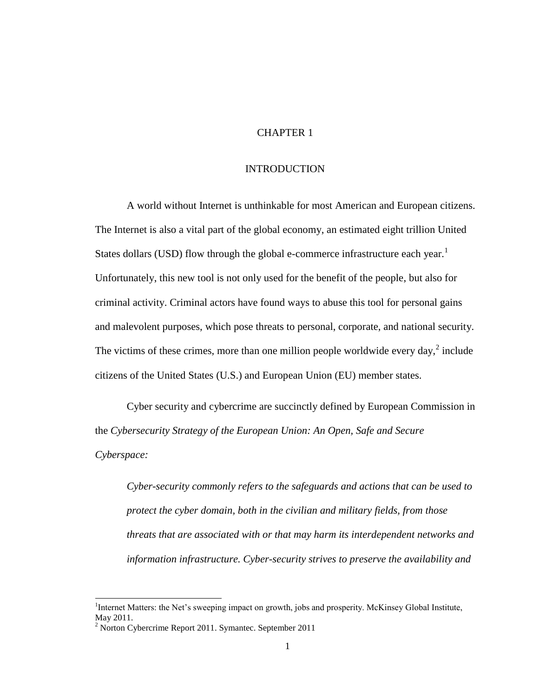#### CHAPTER 1

#### INTRODUCTION

A world without Internet is unthinkable for most American and European citizens. The Internet is also a vital part of the global economy, an estimated eight trillion United States dollars (USD) flow through the global e-commerce infrastructure each year.<sup>1</sup> Unfortunately, this new tool is not only used for the benefit of the people, but also for criminal activity. Criminal actors have found ways to abuse this tool for personal gains and malevolent purposes, which pose threats to personal, corporate, and national security. The victims of these crimes, more than one million people worldwide every day, $2$  include citizens of the United States (U.S.) and European Union (EU) member states.

Cyber security and cybercrime are succinctly defined by European Commission in the *Cybersecurity Strategy of the European Union: An Open, Safe and Secure Cyberspace:*

*Cyber-security commonly refers to the safeguards and actions that can be used to protect the cyber domain, both in the civilian and military fields, from those threats that are associated with or that may harm its interdependent networks and information infrastructure. Cyber-security strives to preserve the availability and* 

<sup>&</sup>lt;sup>1</sup>Internet Matters: the Net's sweeping impact on growth, jobs and prosperity. McKinsey Global Institute, May 2011.

 $2$  Norton Cybercrime Report 2011. Symantec. September 2011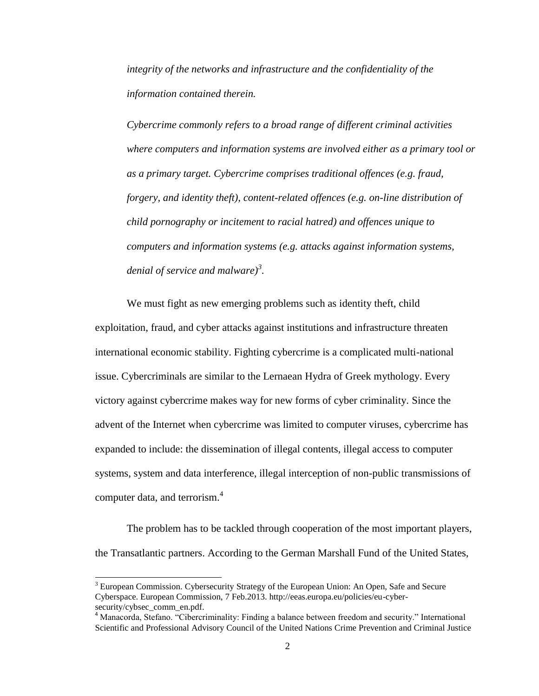*integrity of the networks and infrastructure and the confidentiality of the information contained therein.*

*Cybercrime commonly refers to a broad range of different criminal activities where computers and information systems are involved either as a primary tool or as a primary target. Cybercrime comprises traditional offences (e.g. fraud, forgery, and identity theft), content-related offences (e.g. on-line distribution of child pornography or incitement to racial hatred) and offences unique to computers and information systems (e.g. attacks against information systems, denial of service and malware)<sup>3</sup> .*

We must fight as new emerging problems such as identity theft, child exploitation, fraud, and cyber attacks against institutions and infrastructure threaten international economic stability. Fighting cybercrime is a complicated multi-national issue. Cybercriminals are similar to the Lernaean Hydra of Greek mythology. Every victory against cybercrime makes way for new forms of cyber criminality. Since the advent of the Internet when cybercrime was limited to computer viruses, cybercrime has expanded to include: the dissemination of illegal contents, illegal access to computer systems, system and data interference, illegal interception of non-public transmissions of computer data, and terrorism.<sup>4</sup>

The problem has to be tackled through cooperation of the most important players, the Transatlantic partners. According to the German Marshall Fund of the United States,

<sup>&</sup>lt;sup>3</sup> European Commission. Cybersecurity Strategy of the European Union: An Open, Safe and Secure Cyberspace. European Commission, 7 Feb.2013. http://eeas.europa.eu/policies/eu-cybersecurity/cybsec\_comm\_en.pdf.

<sup>&</sup>lt;sup>4</sup> Manacorda, Stefano. "Cibercriminality: Finding a balance between freedom and security." International Scientific and Professional Advisory Council of the United Nations Crime Prevention and Criminal Justice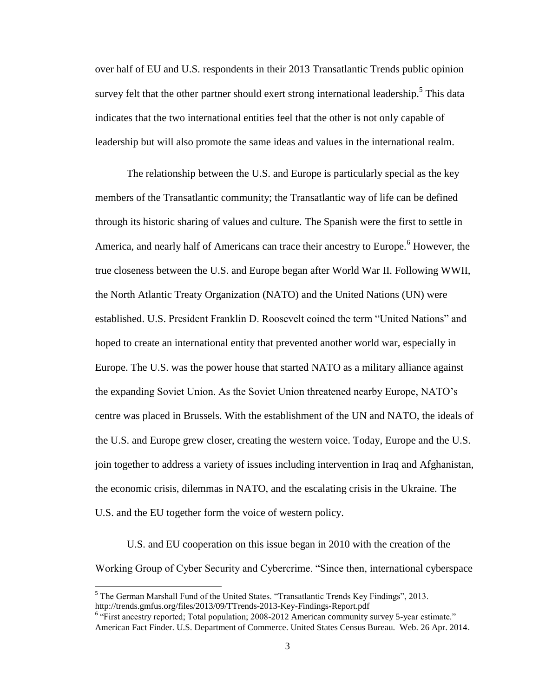over half of EU and U.S. respondents in their 2013 Transatlantic Trends public opinion survey felt that the other partner should exert strong international leadership.<sup>5</sup> This data indicates that the two international entities feel that the other is not only capable of leadership but will also promote the same ideas and values in the international realm.

The relationship between the U.S. and Europe is particularly special as the key members of the Transatlantic community; the Transatlantic way of life can be defined through its historic sharing of values and culture. The Spanish were the first to settle in America, and nearly half of Americans can trace their ancestry to Europe.<sup>6</sup> However, the true closeness between the U.S. and Europe began after World War II. Following WWII, the North Atlantic Treaty Organization (NATO) and the United Nations (UN) were established. U.S. President Franklin D. Roosevelt coined the term "United Nations" and hoped to create an international entity that prevented another world war, especially in Europe. The U.S. was the power house that started NATO as a military alliance against the expanding Soviet Union. As the Soviet Union threatened nearby Europe, NATO's centre was placed in Brussels. With the establishment of the UN and NATO, the ideals of the U.S. and Europe grew closer, creating the western voice. Today, Europe and the U.S. join together to address a variety of issues including intervention in Iraq and Afghanistan, the economic crisis, dilemmas in NATO, and the escalating crisis in the Ukraine. The U.S. and the EU together form the voice of western policy.

U.S. and EU cooperation on this issue began in 2010 with the creation of the Working Group of Cyber Security and Cybercrime. "Since then, international cyberspace

 $<sup>5</sup>$  The German Marshall Fund of the United States. "Transatlantic Trends Key Findings", 2013.</sup> http://trends.gmfus.org/files/2013/09/TTrends-2013-Key-Findings-Report.pdf

<sup>&</sup>lt;sup>6</sup> "First ancestry reported; Total population; 2008-2012 American community survey 5-year estimate." American Fact Finder. U.S. Department of Commerce. United States Census Bureau. Web. 26 Apr. 2014.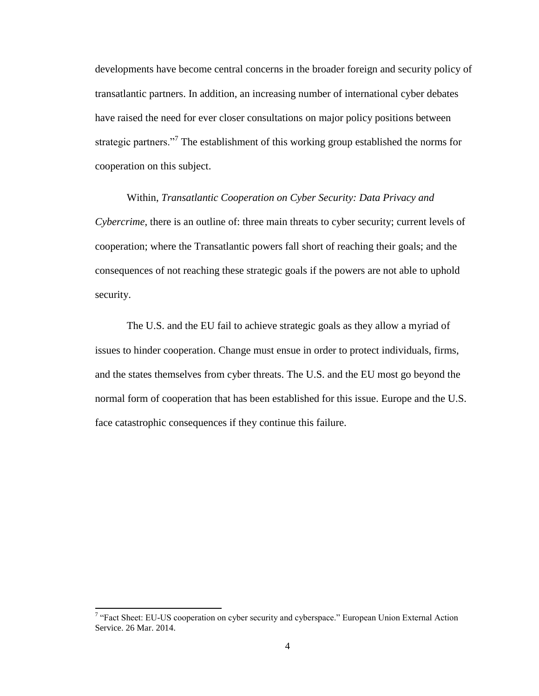developments have become central concerns in the broader foreign and security policy of transatlantic partners. In addition, an increasing number of international cyber debates have raised the need for ever closer consultations on major policy positions between strategic partners."<sup>7</sup> The establishment of this working group established the norms for cooperation on this subject.

Within, *Transatlantic Cooperation on Cyber Security: Data Privacy and Cybercrime*, there is an outline of: three main threats to cyber security; current levels of cooperation; where the Transatlantic powers fall short of reaching their goals; and the consequences of not reaching these strategic goals if the powers are not able to uphold security.

The U.S. and the EU fail to achieve strategic goals as they allow a myriad of issues to hinder cooperation. Change must ensue in order to protect individuals, firms, and the states themselves from cyber threats. The U.S. and the EU most go beyond the normal form of cooperation that has been established for this issue. Europe and the U.S. face catastrophic consequences if they continue this failure.

<sup>&</sup>lt;sup>7</sup> "Fact Sheet: EU-US cooperation on cyber security and cyberspace." European Union External Action Service. 26 Mar. 2014.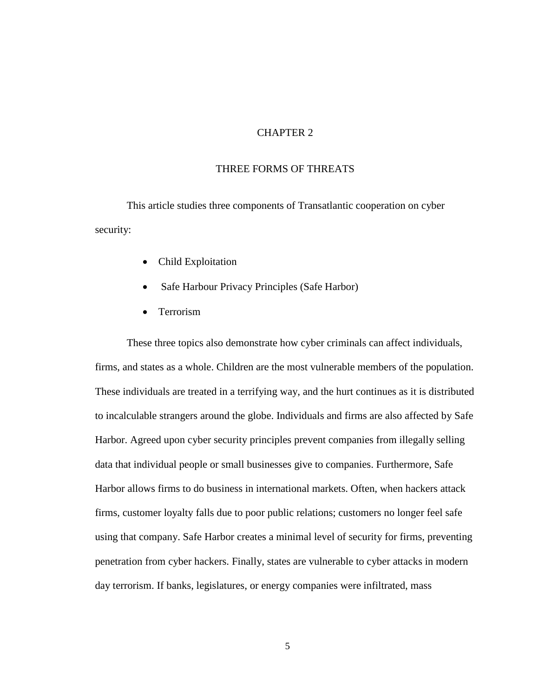# CHAPTER 2

#### THREE FORMS OF THREATS

This article studies three components of Transatlantic cooperation on cyber security:

- Child Exploitation
- Safe Harbour Privacy Principles (Safe Harbor)
- Terrorism

These three topics also demonstrate how cyber criminals can affect individuals, firms, and states as a whole. Children are the most vulnerable members of the population. These individuals are treated in a terrifying way, and the hurt continues as it is distributed to incalculable strangers around the globe. Individuals and firms are also affected by Safe Harbor. Agreed upon cyber security principles prevent companies from illegally selling data that individual people or small businesses give to companies. Furthermore, Safe Harbor allows firms to do business in international markets. Often, when hackers attack firms, customer loyalty falls due to poor public relations; customers no longer feel safe using that company. Safe Harbor creates a minimal level of security for firms, preventing penetration from cyber hackers. Finally, states are vulnerable to cyber attacks in modern day terrorism. If banks, legislatures, or energy companies were infiltrated, mass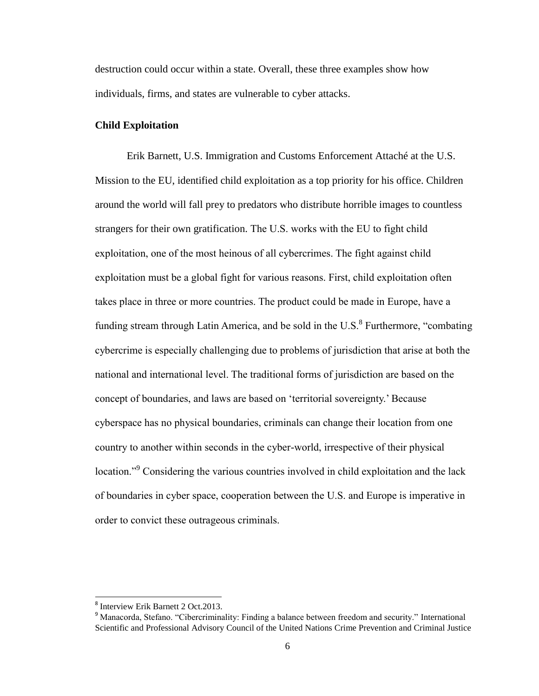destruction could occur within a state. Overall, these three examples show how individuals, firms, and states are vulnerable to cyber attacks.

#### **Child Exploitation**

Erik Barnett, U.S. Immigration and Customs Enforcement Attaché at the U.S. Mission to the EU, identified child exploitation as a top priority for his office. Children around the world will fall prey to predators who distribute horrible images to countless strangers for their own gratification. The U.S. works with the EU to fight child exploitation, one of the most heinous of all cybercrimes. The fight against child exploitation must be a global fight for various reasons. First, child exploitation often takes place in three or more countries. The product could be made in Europe, have a funding stream through Latin America, and be sold in the U.S. $<sup>8</sup>$  Furthermore, "combating</sup> cybercrime is especially challenging due to problems of jurisdiction that arise at both the national and international level. The traditional forms of jurisdiction are based on the concept of boundaries, and laws are based on 'territorial sovereignty.' Because cyberspace has no physical boundaries, criminals can change their location from one country to another within seconds in the cyber-world, irrespective of their physical location."<sup>9</sup> Considering the various countries involved in child exploitation and the lack of boundaries in cyber space, cooperation between the U.S. and Europe is imperative in order to convict these outrageous criminals.

 $\overline{a}$ 

<sup>&</sup>lt;sup>8</sup> Interview Erik Barnett 2 Oct.2013.

<sup>&</sup>lt;sup>9</sup> Manacorda, Stefano. "Cibercriminality: Finding a balance between freedom and security." International Scientific and Professional Advisory Council of the United Nations Crime Prevention and Criminal Justice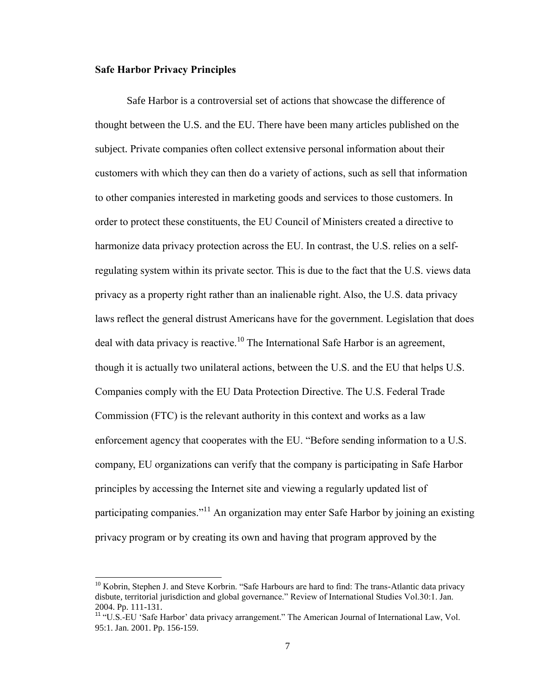#### **Safe Harbor Privacy Principles**

l

Safe Harbor is a controversial set of actions that showcase the difference of thought between the U.S. and the EU. There have been many articles published on the subject. Private companies often collect extensive personal information about their customers with which they can then do a variety of actions, such as sell that information to other companies interested in marketing goods and services to those customers. In order to protect these constituents, the EU Council of Ministers created a directive to harmonize data privacy protection across the EU. In contrast, the U.S. relies on a selfregulating system within its private sector. This is due to the fact that the U.S. views data privacy as a property right rather than an inalienable right. Also, the U.S. data privacy laws reflect the general distrust Americans have for the government. Legislation that does deal with data privacy is reactive.<sup>10</sup> The International Safe Harbor is an agreement, though it is actually two unilateral actions, between the U.S. and the EU that helps U.S. Companies comply with the EU Data Protection Directive. The U.S. Federal Trade Commission (FTC) is the relevant authority in this context and works as a law enforcement agency that cooperates with the EU. "Before sending information to a U.S. company, EU organizations can verify that the company is participating in Safe Harbor principles by accessing the Internet site and viewing a regularly updated list of participating companies."<sup>11</sup> An organization may enter Safe Harbor by joining an existing privacy program or by creating its own and having that program approved by the

<sup>&</sup>lt;sup>10</sup> Kobrin, Stephen J. and Steve Korbrin. "Safe Harbours are hard to find: The trans-Atlantic data privacy disbute, territorial jurisdiction and global governance." Review of International Studies Vol.30:1. Jan. 2004. Pp. 111-131.

<sup>&</sup>lt;sup>11</sup> "U.S.-EU 'Safe Harbor' data privacy arrangement." The American Journal of International Law, Vol. 95:1. Jan. 2001. Pp. 156-159.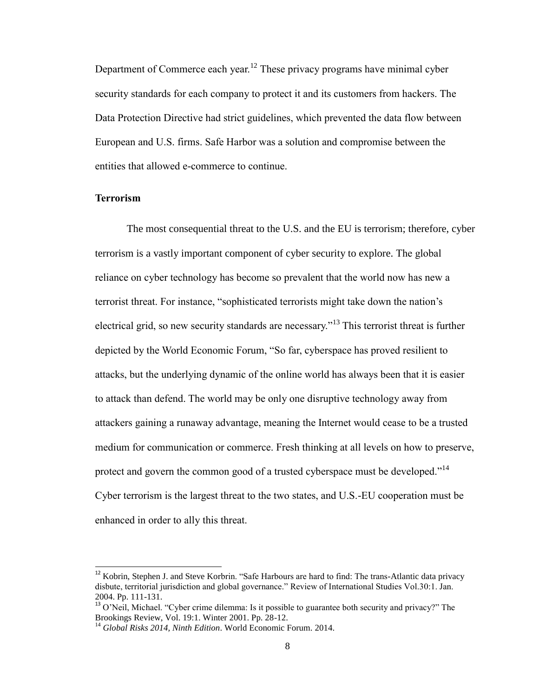Department of Commerce each year.<sup>12</sup> These privacy programs have minimal cyber security standards for each company to protect it and its customers from hackers. The Data Protection Directive had strict guidelines, which prevented the data flow between European and U.S. firms. Safe Harbor was a solution and compromise between the entities that allowed e-commerce to continue.

#### **Terrorism**

 $\overline{a}$ 

The most consequential threat to the U.S. and the EU is terrorism; therefore, cyber terrorism is a vastly important component of cyber security to explore. The global reliance on cyber technology has become so prevalent that the world now has new a terrorist threat. For instance, "sophisticated terrorists might take down the nation's electrical grid, so new security standards are necessary."<sup>13</sup> This terrorist threat is further depicted by the World Economic Forum, "So far, cyberspace has proved resilient to attacks, but the underlying dynamic of the online world has always been that it is easier to attack than defend. The world may be only one disruptive technology away from attackers gaining a runaway advantage, meaning the Internet would cease to be a trusted medium for communication or commerce. Fresh thinking at all levels on how to preserve, protect and govern the common good of a trusted cyberspace must be developed."<sup>14</sup> Cyber terrorism is the largest threat to the two states, and U.S.-EU cooperation must be enhanced in order to ally this threat.

 $12$  Kobrin, Stephen J. and Steve Korbrin. "Safe Harbours are hard to find: The trans-Atlantic data privacy disbute, territorial jurisdiction and global governance." Review of International Studies Vol.30:1. Jan. 2004. Pp. 111-131.

<sup>&</sup>lt;sup>13</sup> O'Neil, Michael. "Cyber crime dilemma: Is it possible to guarantee both security and privacy?" The Brookings Review, Vol. 19:1. Winter 2001. Pp. 28-12.

<sup>14</sup> *Global Risks 2014, Ninth Edition*. World Economic Forum. 2014.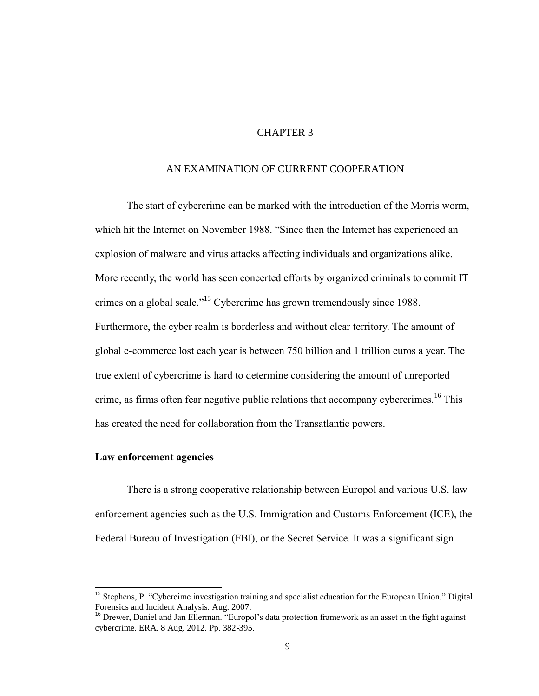# CHAPTER 3

#### AN EXAMINATION OF CURRENT COOPERATION

The start of cybercrime can be marked with the introduction of the Morris worm, which hit the Internet on November 1988. "Since then the Internet has experienced an explosion of malware and virus attacks affecting individuals and organizations alike. More recently, the world has seen concerted efforts by organized criminals to commit IT crimes on a global scale."<sup>15</sup> Cybercrime has grown tremendously since 1988. Furthermore, the cyber realm is borderless and without clear territory. The amount of global e-commerce lost each year is between 750 billion and 1 trillion euros a year. The true extent of cybercrime is hard to determine considering the amount of unreported crime, as firms often fear negative public relations that accompany cybercrimes.<sup>16</sup> This has created the need for collaboration from the Transatlantic powers.

#### **Law enforcement agencies**

 $\overline{\phantom{0}}$ 

There is a strong cooperative relationship between Europol and various U.S. law enforcement agencies such as the U.S. Immigration and Customs Enforcement (ICE), the Federal Bureau of Investigation (FBI), or the Secret Service. It was a significant sign

<sup>&</sup>lt;sup>15</sup> Stephens, P. "Cybercime investigation training and specialist education for the European Union." Digital Forensics and Incident Analysis. Aug. 2007.

<sup>&</sup>lt;sup>16</sup> Drewer, Daniel and Jan Ellerman. "Europol's data protection framework as an asset in the fight against cybercrime. ERA. 8 Aug. 2012. Pp. 382-395.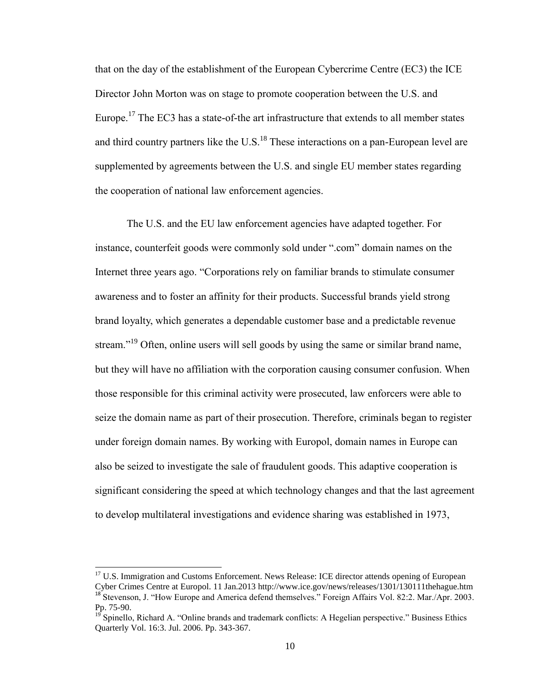that on the day of the establishment of the European Cybercrime Centre (EC3) the ICE Director John Morton was on stage to promote cooperation between the U.S. and Europe.<sup>17</sup> The EC3 has a state-of-the art infrastructure that extends to all member states and third country partners like the  $U.S.<sup>18</sup>$  These interactions on a pan-European level are supplemented by agreements between the U.S. and single EU member states regarding the cooperation of national law enforcement agencies.

The U.S. and the EU law enforcement agencies have adapted together. For instance, counterfeit goods were commonly sold under ".com" domain names on the Internet three years ago. "Corporations rely on familiar brands to stimulate consumer awareness and to foster an affinity for their products. Successful brands yield strong brand loyalty, which generates a dependable customer base and a predictable revenue stream."<sup>19</sup> Often, online users will sell goods by using the same or similar brand name, but they will have no affiliation with the corporation causing consumer confusion. When those responsible for this criminal activity were prosecuted, law enforcers were able to seize the domain name as part of their prosecution. Therefore, criminals began to register under foreign domain names. By working with Europol, domain names in Europe can also be seized to investigate the sale of fraudulent goods. This adaptive cooperation is significant considering the speed at which technology changes and that the last agreement to develop multilateral investigations and evidence sharing was established in 1973,

 $\overline{a}$ 

<sup>&</sup>lt;sup>17</sup> U.S. Immigration and Customs Enforcement. News Release: ICE director attends opening of European Cyber Crimes Centre at Europol. 11 Jan.2013 http://www.ice.gov/news/releases/1301/130111thehague.htm <sup>18</sup> Stevenson, J. "How Europe and America defend themselves." Foreign Affairs Vol. 82:2. Mar./Apr. 2003. Pp. 75-90.

<sup>&</sup>lt;sup>19</sup> Spinello, Richard A. "Online brands and trademark conflicts: A Hegelian perspective." Business Ethics Quarterly Vol. 16:3. Jul. 2006. Pp. 343-367.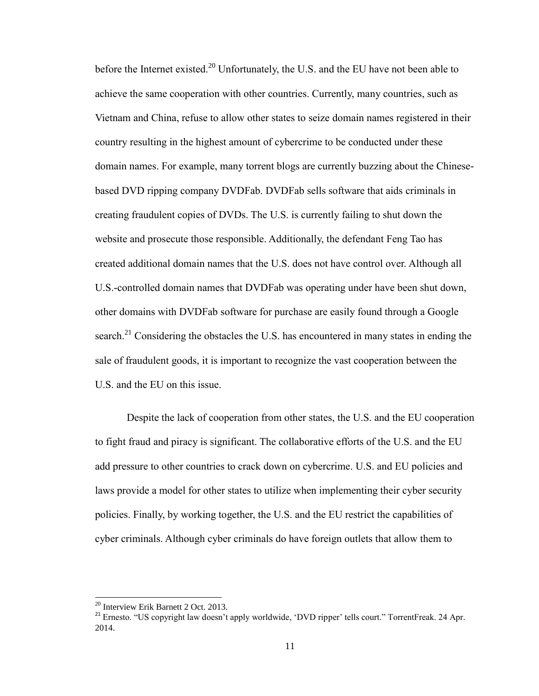before the Internet existed.<sup>20</sup> Unfortunately, the U.S. and the EU have not been able to achieve the same cooperation with other countries. Currently, many countries, such as Vietnam and China, refuse to allow other states to seize domain names registered in their country resulting in the highest amount of cybercrime to be conducted under these domain names. For example, many torrent blogs are currently buzzing about the Chinesebased DVD ripping company DVDFab. DVDFab sells software that aids criminals in creating fraudulent copies of DVDs. The U.S. is currently failing to shut down the website and prosecute those responsible. Additionally, the defendant Feng Tao has created additional domain names that the U.S. does not have control over. Although all U.S.-controlled domain names that DVDFab was operating under have been shut down, other domains with DVDFab software for purchase are easily found through a Google search.<sup>21</sup> Considering the obstacles the U.S. has encountered in many states in ending the sale of fraudulent goods, it is important to recognize the vast cooperation between the U.S. and the EU on this issue.

Despite the lack of cooperation from other states, the U.S. and the EU cooperation to fight fraud and piracy is significant. The collaborative efforts of the U.S. and the EU add pressure to other countries to crack down on cybercrime. U.S. and EU policies and laws provide a model for other states to utilize when implementing their cyber security policies. Finally, by working together, the U.S. and the EU restrict the capabilities of cyber criminals. Although cyber criminals do have foreign outlets that allow them to

<sup>&</sup>lt;sup>20</sup> Interview Erik Barnett 2 Oct. 2013.

<sup>&</sup>lt;sup>21</sup> Ernesto. "US copyright law doesn't apply worldwide, 'DVD ripper' tells court." TorrentFreak. 24 Apr. 2014.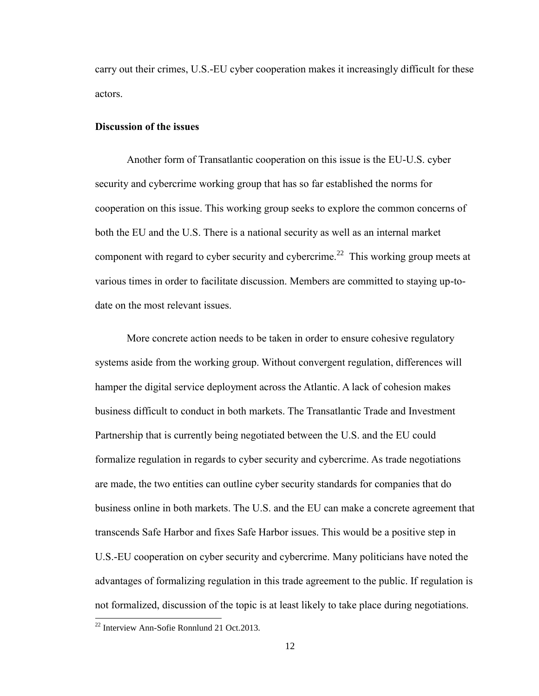carry out their crimes, U.S.-EU cyber cooperation makes it increasingly difficult for these actors.

#### **Discussion of the issues**

Another form of Transatlantic cooperation on this issue is the EU-U.S. cyber security and cybercrime working group that has so far established the norms for cooperation on this issue. This working group seeks to explore the common concerns of both the EU and the U.S. There is a national security as well as an internal market component with regard to cyber security and cybercrime.<sup>22</sup> This working group meets at various times in order to facilitate discussion. Members are committed to staying up-todate on the most relevant issues.

More concrete action needs to be taken in order to ensure cohesive regulatory systems aside from the working group. Without convergent regulation, differences will hamper the digital service deployment across the Atlantic. A lack of cohesion makes business difficult to conduct in both markets. The Transatlantic Trade and Investment Partnership that is currently being negotiated between the U.S. and the EU could formalize regulation in regards to cyber security and cybercrime. As trade negotiations are made, the two entities can outline cyber security standards for companies that do business online in both markets. The U.S. and the EU can make a concrete agreement that transcends Safe Harbor and fixes Safe Harbor issues. This would be a positive step in U.S.-EU cooperation on cyber security and cybercrime. Many politicians have noted the advantages of formalizing regulation in this trade agreement to the public. If regulation is not formalized, discussion of the topic is at least likely to take place during negotiations.

 $^{22}$  Interview Ann-Sofie Ronnlund 21 Oct.2013.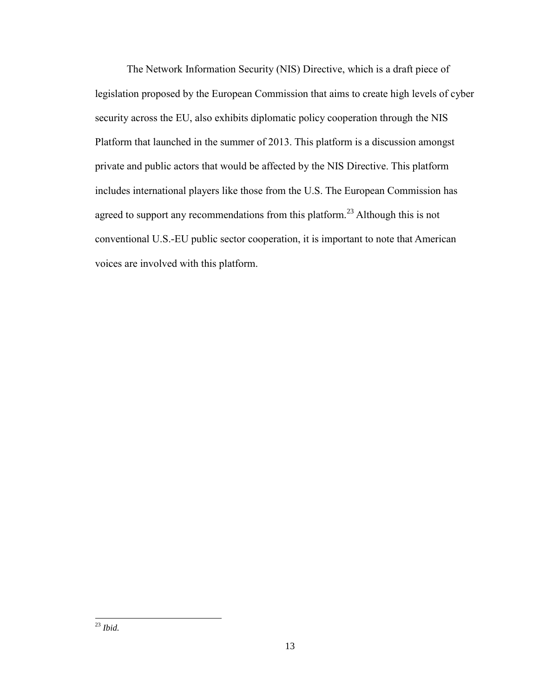The Network Information Security (NIS) Directive, which is a draft piece of legislation proposed by the European Commission that aims to create high levels of cyber security across the EU, also exhibits diplomatic policy cooperation through the NIS Platform that launched in the summer of 2013. This platform is a discussion amongst private and public actors that would be affected by the NIS Directive. This platform includes international players like those from the U.S. The European Commission has agreed to support any recommendations from this platform.<sup>23</sup> Although this is not conventional U.S.-EU public sector cooperation, it is important to note that American voices are involved with this platform.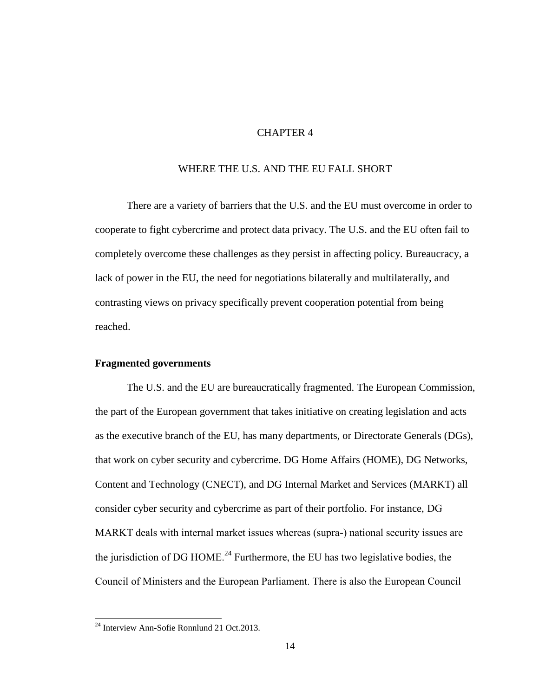# CHAPTER 4

#### WHERE THE U.S. AND THE EU FALL SHORT

There are a variety of barriers that the U.S. and the EU must overcome in order to cooperate to fight cybercrime and protect data privacy. The U.S. and the EU often fail to completely overcome these challenges as they persist in affecting policy. Bureaucracy, a lack of power in the EU, the need for negotiations bilaterally and multilaterally, and contrasting views on privacy specifically prevent cooperation potential from being reached.

#### **Fragmented governments**

The U.S. and the EU are bureaucratically fragmented. The European Commission, the part of the European government that takes initiative on creating legislation and acts as the executive branch of the EU, has many departments, or Directorate Generals (DGs), that work on cyber security and cybercrime. DG Home Affairs (HOME), DG Networks, Content and Technology (CNECT), and DG Internal Market and Services (MARKT) all consider cyber security and cybercrime as part of their portfolio. For instance, DG MARKT deals with internal market issues whereas (supra-) national security issues are the jurisdiction of DG HOME.<sup>24</sup> Furthermore, the EU has two legislative bodies, the Council of Ministers and the European Parliament. There is also the European Council

 $^{24}$  Interview Ann-Sofie Ronnlund 21 Oct. 2013.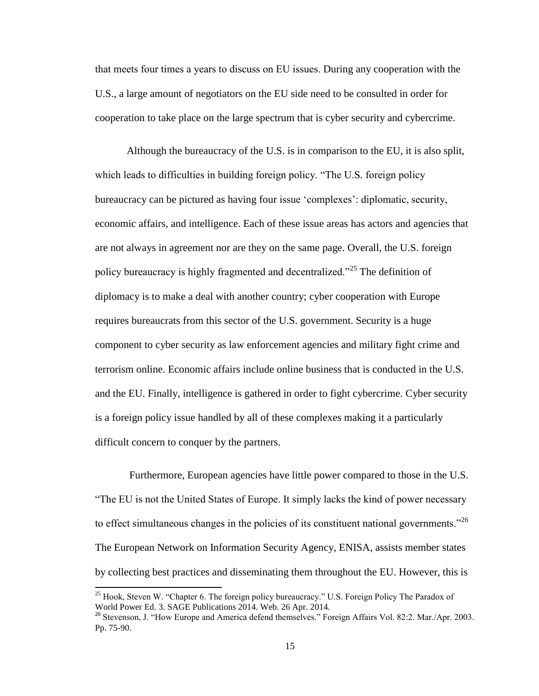that meets four times a years to discuss on EU issues. During any cooperation with the U.S., a large amount of negotiators on the EU side need to be consulted in order for cooperation to take place on the large spectrum that is cyber security and cybercrime.

Although the bureaucracy of the U.S. is in comparison to the EU, it is also split, which leads to difficulties in building foreign policy. "The U.S. foreign policy bureaucracy can be pictured as having four issue 'complexes': diplomatic, security, economic affairs, and intelligence. Each of these issue areas has actors and agencies that are not always in agreement nor are they on the same page. Overall, the U.S. foreign policy bureaucracy is highly fragmented and decentralized."<sup>25</sup> The definition of diplomacy is to make a deal with another country; cyber cooperation with Europe requires bureaucrats from this sector of the U.S. government. Security is a huge component to cyber security as law enforcement agencies and military fight crime and terrorism online. Economic affairs include online business that is conducted in the U.S. and the EU. Finally, intelligence is gathered in order to fight cybercrime. Cyber security is a foreign policy issue handled by all of these complexes making it a particularly difficult concern to conquer by the partners.

Furthermore, European agencies have little power compared to those in the U.S. "The EU is not the United States of Europe. It simply lacks the kind of power necessary to effect simultaneous changes in the policies of its constituent national governments.<sup>226</sup> The European Network on Information Security Agency, ENISA, assists member states by collecting best practices and disseminating them throughout the EU. However, this is

<sup>&</sup>lt;sup>25</sup> Hook, Steven W. "Chapter 6. The foreign policy bureaucracy." U.S. Foreign Policy The Paradox of World Power Ed. 3. SAGE Publications 2014. Web. 26 Apr. 2014.

<sup>&</sup>lt;sup>26</sup> Stevenson, J. "How Europe and America defend themselves." Foreign Affairs Vol. 82:2. Mar./Apr. 2003. Pp. 75-90.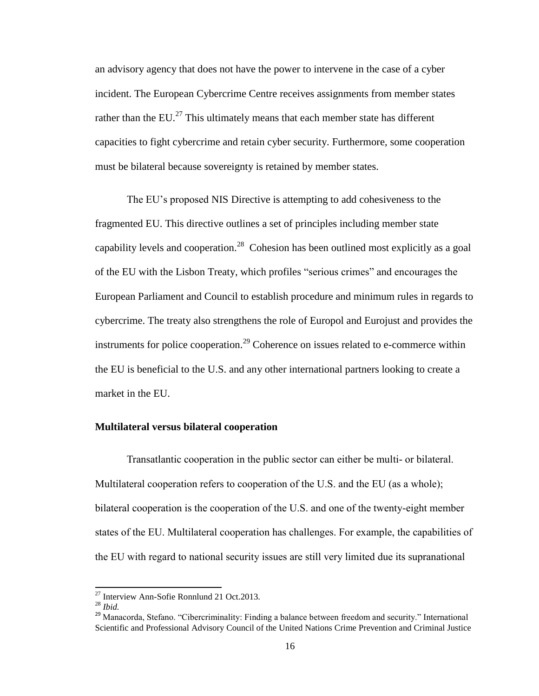an advisory agency that does not have the power to intervene in the case of a cyber incident. The European Cybercrime Centre receives assignments from member states rather than the EU. $^{27}$  This ultimately means that each member state has different capacities to fight cybercrime and retain cyber security. Furthermore, some cooperation must be bilateral because sovereignty is retained by member states.

The EU's proposed NIS Directive is attempting to add cohesiveness to the fragmented EU. This directive outlines a set of principles including member state capability levels and cooperation.<sup>28</sup> Cohesion has been outlined most explicitly as a goal of the EU with the Lisbon Treaty, which profiles "serious crimes" and encourages the European Parliament and Council to establish procedure and minimum rules in regards to cybercrime. The treaty also strengthens the role of Europol and Eurojust and provides the instruments for police cooperation.<sup>29</sup> Coherence on issues related to e-commerce within the EU is beneficial to the U.S. and any other international partners looking to create a market in the EU.

#### **Multilateral versus bilateral cooperation**

Transatlantic cooperation in the public sector can either be multi- or bilateral. Multilateral cooperation refers to cooperation of the U.S. and the EU (as a whole); bilateral cooperation is the cooperation of the U.S. and one of the twenty-eight member states of the EU. Multilateral cooperation has challenges. For example, the capabilities of the EU with regard to national security issues are still very limited due its supranational

<sup>&</sup>lt;sup>27</sup> Interview Ann-Sofie Ronnlund 21 Oct.2013.

<sup>28</sup> *Ibid.*

<sup>&</sup>lt;sup>29</sup> Manacorda, Stefano. "Cibercriminality: Finding a balance between freedom and security." International Scientific and Professional Advisory Council of the United Nations Crime Prevention and Criminal Justice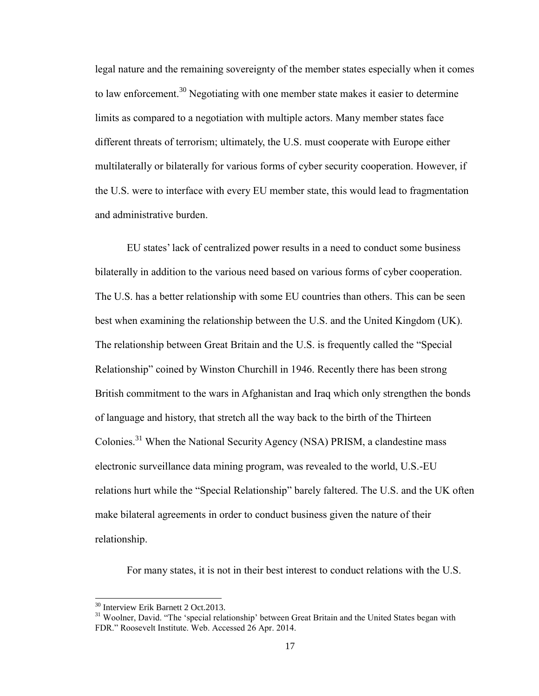legal nature and the remaining sovereignty of the member states especially when it comes to law enforcement.<sup>30</sup> Negotiating with one member state makes it easier to determine limits as compared to a negotiation with multiple actors. Many member states face different threats of terrorism; ultimately, the U.S. must cooperate with Europe either multilaterally or bilaterally for various forms of cyber security cooperation. However, if the U.S. were to interface with every EU member state, this would lead to fragmentation and administrative burden.

EU states' lack of centralized power results in a need to conduct some business bilaterally in addition to the various need based on various forms of cyber cooperation. The U.S. has a better relationship with some EU countries than others. This can be seen best when examining the relationship between the U.S. and the United Kingdom (UK). The relationship between Great Britain and the U.S. is frequently called the "Special Relationship" coined by Winston Churchill in 1946. Recently there has been strong British commitment to the wars in Afghanistan and Iraq which only strengthen the bonds of language and history, that stretch all the way back to the birth of the Thirteen Colonies.<sup>31</sup> When the National Security Agency (NSA) PRISM, a clandestine mass electronic surveillance data mining program, was revealed to the world, U.S.-EU relations hurt while the "Special Relationship" barely faltered. The U.S. and the UK often make bilateral agreements in order to conduct business given the nature of their relationship.

For many states, it is not in their best interest to conduct relations with the U.S.

<sup>&</sup>lt;sup>30</sup> Interview Erik Barnett 2 Oct.2013.

<sup>&</sup>lt;sup>31</sup> Woolner, David. "The 'special relationship' between Great Britain and the United States began with FDR." Roosevelt Institute. Web. Accessed 26 Apr. 2014.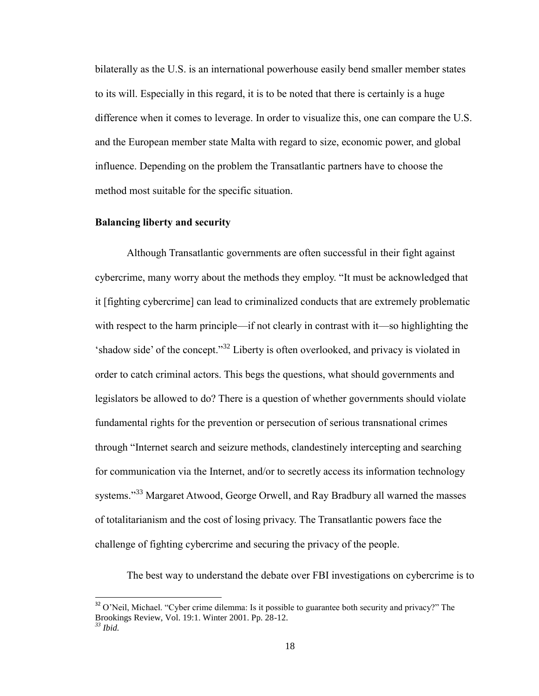bilaterally as the U.S. is an international powerhouse easily bend smaller member states to its will. Especially in this regard, it is to be noted that there is certainly is a huge difference when it comes to leverage. In order to visualize this, one can compare the U.S. and the European member state Malta with regard to size, economic power, and global influence. Depending on the problem the Transatlantic partners have to choose the method most suitable for the specific situation.

#### **Balancing liberty and security**

l

Although Transatlantic governments are often successful in their fight against cybercrime, many worry about the methods they employ. "It must be acknowledged that it [fighting cybercrime] can lead to criminalized conducts that are extremely problematic with respect to the harm principle—if not clearly in contrast with it—so highlighting the 'shadow side' of the concept."<sup>32</sup> Liberty is often overlooked, and privacy is violated in order to catch criminal actors. This begs the questions, what should governments and legislators be allowed to do? There is a question of whether governments should violate fundamental rights for the prevention or persecution of serious transnational crimes through "Internet search and seizure methods, clandestinely intercepting and searching for communication via the Internet, and/or to secretly access its information technology systems."<sup>33</sup> Margaret Atwood, George Orwell, and Ray Bradbury all warned the masses of totalitarianism and the cost of losing privacy. The Transatlantic powers face the challenge of fighting cybercrime and securing the privacy of the people.

The best way to understand the debate over FBI investigations on cybercrime is to

 $32$  O'Neil, Michael. "Cyber crime dilemma: Is it possible to guarantee both security and privacy?" The Brookings Review, Vol. 19:1. Winter 2001. Pp. 28-12. *<sup>33</sup> Ibid.*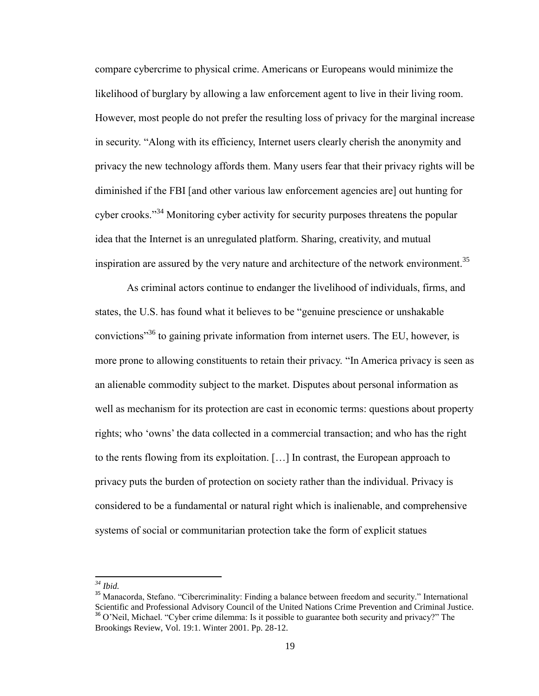compare cybercrime to physical crime. Americans or Europeans would minimize the likelihood of burglary by allowing a law enforcement agent to live in their living room. However, most people do not prefer the resulting loss of privacy for the marginal increase in security. "Along with its efficiency, Internet users clearly cherish the anonymity and privacy the new technology affords them. Many users fear that their privacy rights will be diminished if the FBI [and other various law enforcement agencies are] out hunting for cyber crooks."<sup>34</sup> Monitoring cyber activity for security purposes threatens the popular idea that the Internet is an unregulated platform. Sharing, creativity, and mutual inspiration are assured by the very nature and architecture of the network environment.<sup>35</sup>

As criminal actors continue to endanger the livelihood of individuals, firms, and states, the U.S. has found what it believes to be "genuine prescience or unshakable convictions<sup>35</sup> to gaining private information from internet users. The EU, however, is more prone to allowing constituents to retain their privacy. "In America privacy is seen as an alienable commodity subject to the market. Disputes about personal information as well as mechanism for its protection are cast in economic terms: questions about property rights; who 'owns' the data collected in a commercial transaction; and who has the right to the rents flowing from its exploitation. […] In contrast, the European approach to privacy puts the burden of protection on society rather than the individual. Privacy is considered to be a fundamental or natural right which is inalienable, and comprehensive systems of social or communitarian protection take the form of explicit statues

*<sup>34</sup> Ibid.*

<sup>&</sup>lt;sup>35</sup> Manacorda, Stefano. "Cibercriminality: Finding a balance between freedom and security." International Scientific and Professional Advisory Council of the United Nations Crime Prevention and Criminal Justice. <sup>36</sup> O'Neil, Michael. "Cyber crime dilemma: Is it possible to guarantee both security and privacy?" The Brookings Review, Vol. 19:1. Winter 2001. Pp. 28-12.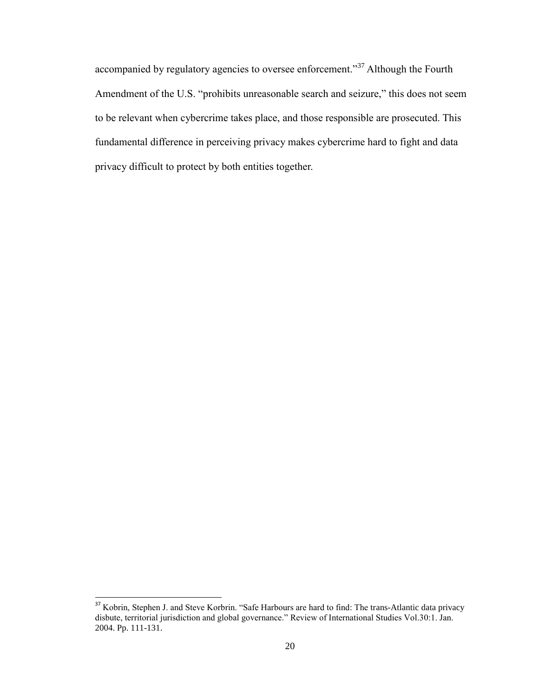accompanied by regulatory agencies to oversee enforcement."<sup>37</sup> Although the Fourth Amendment of the U.S. "prohibits unreasonable search and seizure," this does not seem to be relevant when cybercrime takes place, and those responsible are prosecuted. This fundamental difference in perceiving privacy makes cybercrime hard to fight and data privacy difficult to protect by both entities together.

<sup>&</sup>lt;sup>37</sup> Kobrin, Stephen J. and Steve Korbrin. "Safe Harbours are hard to find: The trans-Atlantic data privacy disbute, territorial jurisdiction and global governance." Review of International Studies Vol.30:1. Jan. 2004. Pp. 111-131.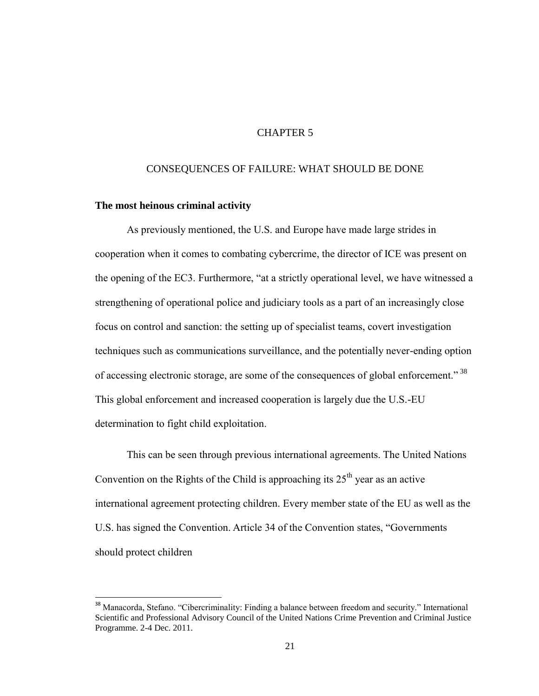# CHAPTER 5

#### CONSEQUENCES OF FAILURE: WHAT SHOULD BE DONE

#### **The most heinous criminal activity**

l

As previously mentioned, the U.S. and Europe have made large strides in cooperation when it comes to combating cybercrime, the director of ICE was present on the opening of the EC3. Furthermore, "at a strictly operational level, we have witnessed a strengthening of operational police and judiciary tools as a part of an increasingly close focus on control and sanction: the setting up of specialist teams, covert investigation techniques such as communications surveillance, and the potentially never-ending option of accessing electronic storage, are some of the consequences of global enforcement." <sup>38</sup> This global enforcement and increased cooperation is largely due the U.S.-EU determination to fight child exploitation.

This can be seen through previous international agreements. The United Nations Convention on the Rights of the Child is approaching its  $25<sup>th</sup>$  year as an active international agreement protecting children. Every member state of the EU as well as the U.S. has signed the Convention. Article 34 of the Convention states, "Governments should protect children

<sup>&</sup>lt;sup>38</sup> Manacorda, Stefano. "Cibercriminality: Finding a balance between freedom and security." International Scientific and Professional Advisory Council of the United Nations Crime Prevention and Criminal Justice Programme. 2-4 Dec. 2011.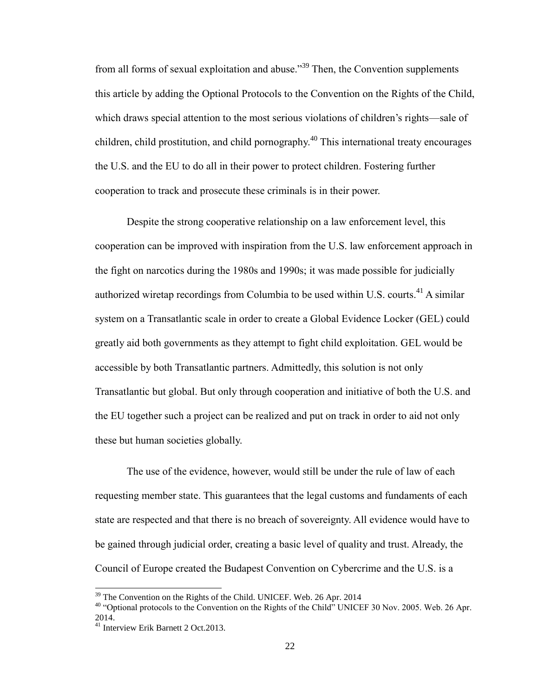from all forms of sexual exploitation and abuse."<sup>39</sup> Then, the Convention supplements this article by adding the Optional Protocols to the Convention on the Rights of the Child, which draws special attention to the most serious violations of children's rights—sale of children, child prostitution, and child pornography.<sup>40</sup> This international treaty encourages the U.S. and the EU to do all in their power to protect children. Fostering further cooperation to track and prosecute these criminals is in their power.

Despite the strong cooperative relationship on a law enforcement level, this cooperation can be improved with inspiration from the U.S. law enforcement approach in the fight on narcotics during the 1980s and 1990s; it was made possible for judicially authorized wiretap recordings from Columbia to be used within U.S. courts.<sup>41</sup> A similar system on a Transatlantic scale in order to create a Global Evidence Locker (GEL) could greatly aid both governments as they attempt to fight child exploitation. GEL would be accessible by both Transatlantic partners. Admittedly, this solution is not only Transatlantic but global. But only through cooperation and initiative of both the U.S. and the EU together such a project can be realized and put on track in order to aid not only these but human societies globally.

The use of the evidence, however, would still be under the rule of law of each requesting member state. This guarantees that the legal customs and fundaments of each state are respected and that there is no breach of sovereignty. All evidence would have to be gained through judicial order, creating a basic level of quality and trust. Already, the Council of Europe created the Budapest Convention on Cybercrime and the U.S. is a

 $\overline{a}$ 

<sup>&</sup>lt;sup>39</sup> The Convention on the Rights of the Child. UNICEF. Web. 26 Apr. 2014

<sup>&</sup>lt;sup>40</sup> "Optional protocols to the Convention on the Rights of the Child" UNICEF 30 Nov. 2005. Web. 26 Apr. 2014.

<sup>41</sup> Interview Erik Barnett 2 Oct.2013.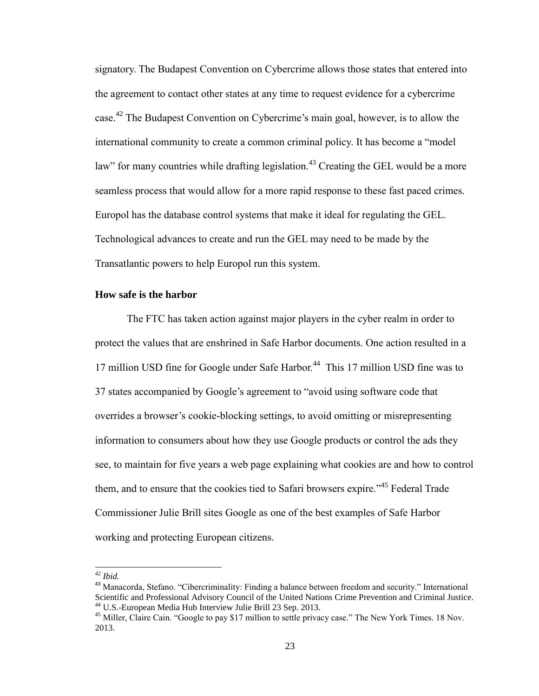signatory. The Budapest Convention on Cybercrime allows those states that entered into the agreement to contact other states at any time to request evidence for a cybercrime case.<sup>42</sup> The Budapest Convention on Cybercrime's main goal, however, is to allow the international community to create a common criminal policy. It has become a "model law" for many countries while drafting legislation.<sup>43</sup> Creating the GEL would be a more seamless process that would allow for a more rapid response to these fast paced crimes. Europol has the database control systems that make it ideal for regulating the GEL. Technological advances to create and run the GEL may need to be made by the Transatlantic powers to help Europol run this system.

#### **How safe is the harbor**

The FTC has taken action against major players in the cyber realm in order to protect the values that are enshrined in Safe Harbor documents. One action resulted in a 17 million USD fine for Google under Safe Harbor.<sup>44</sup> This 17 million USD fine was to 37 states accompanied by Google's agreement to "avoid using software code that overrides a browser's cookie-blocking settings, to avoid omitting or misrepresenting information to consumers about how they use Google products or control the ads they see, to maintain for five years a web page explaining what cookies are and how to control them, and to ensure that the cookies tied to Safari browsers expire."<sup>45</sup> Federal Trade Commissioner Julie Brill sites Google as one of the best examples of Safe Harbor working and protecting European citizens.

 $\overline{a}$ 

*<sup>42</sup> Ibid.*

<sup>&</sup>lt;sup>43</sup> Manacorda, Stefano. "Cibercriminality: Finding a balance between freedom and security." International Scientific and Professional Advisory Council of the United Nations Crime Prevention and Criminal Justice. <sup>44</sup> U.S.-European Media Hub Interview Julie Brill 23 Sep. 2013.

<sup>&</sup>lt;sup>45</sup> Miller, Claire Cain. "Google to pay \$17 million to settle privacy case." The New York Times. 18 Nov. 2013.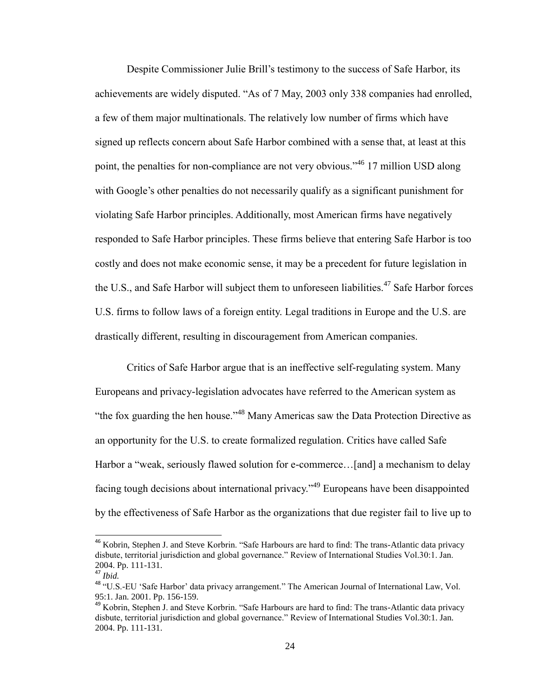Despite Commissioner Julie Brill's testimony to the success of Safe Harbor, its achievements are widely disputed. "As of 7 May, 2003 only 338 companies had enrolled, a few of them major multinationals. The relatively low number of firms which have signed up reflects concern about Safe Harbor combined with a sense that, at least at this point, the penalties for non-compliance are not very obvious."<sup>46</sup> 17 million USD along with Google's other penalties do not necessarily qualify as a significant punishment for violating Safe Harbor principles. Additionally, most American firms have negatively responded to Safe Harbor principles. These firms believe that entering Safe Harbor is too costly and does not make economic sense, it may be a precedent for future legislation in the U.S., and Safe Harbor will subject them to unforeseen liabilities.<sup>47</sup> Safe Harbor forces U.S. firms to follow laws of a foreign entity. Legal traditions in Europe and the U.S. are drastically different, resulting in discouragement from American companies.

Critics of Safe Harbor argue that is an ineffective self-regulating system. Many Europeans and privacy-legislation advocates have referred to the American system as "the fox guarding the hen house."<sup>48</sup> Many Americas saw the Data Protection Directive as an opportunity for the U.S. to create formalized regulation. Critics have called Safe Harbor a "weak, seriously flawed solution for e-commerce…[and] a mechanism to delay facing tough decisions about international privacy."<sup>49</sup> Europeans have been disappointed by the effectiveness of Safe Harbor as the organizations that due register fail to live up to

<sup>&</sup>lt;sup>46</sup> Kobrin, Stephen J. and Steve Korbrin. "Safe Harbours are hard to find: The trans-Atlantic data privacy disbute, territorial jurisdiction and global governance." Review of International Studies Vol.30:1. Jan. 2004. Pp. 111-131.

<sup>47</sup> *Ibid.*

<sup>48</sup> "U.S.-EU 'Safe Harbor' data privacy arrangement." The American Journal of International Law, Vol. 95:1. Jan. 2001. Pp. 156-159.

<sup>&</sup>lt;sup>49</sup> Kobrin, Stephen J. and Steve Korbrin. "Safe Harbours are hard to find: The trans-Atlantic data privacy disbute, territorial jurisdiction and global governance." Review of International Studies Vol.30:1. Jan. 2004. Pp. 111-131.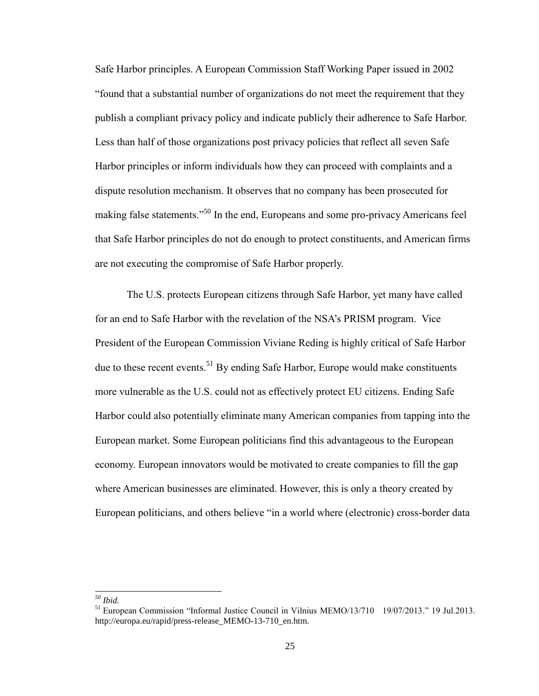Safe Harbor principles. A European Commission Staff Working Paper issued in 2002 "found that a substantial number of organizations do not meet the requirement that they publish a compliant privacy policy and indicate publicly their adherence to Safe Harbor. Less than half of those organizations post privacy policies that reflect all seven Safe Harbor principles or inform individuals how they can proceed with complaints and a dispute resolution mechanism. It observes that no company has been prosecuted for making false statements."<sup>50</sup> In the end, Europeans and some pro-privacy Americans feel that Safe Harbor principles do not do enough to protect constituents, and American firms are not executing the compromise of Safe Harbor properly.

The U.S. protects European citizens through Safe Harbor, yet many have called for an end to Safe Harbor with the revelation of the NSA's PRISM program. Vice President of the European Commission Viviane Reding is highly critical of Safe Harbor due to these recent events.<sup>51</sup> By ending Safe Harbor, Europe would make constituents more vulnerable as the U.S. could not as effectively protect EU citizens. Ending Safe Harbor could also potentially eliminate many American companies from tapping into the European market. Some European politicians find this advantageous to the European economy. European innovators would be motivated to create companies to fill the gap where American businesses are eliminated. However, this is only a theory created by European politicians, and others believe "in a world where (electronic) cross-border data

*<sup>50</sup> Ibid.*

 $<sup>51</sup>$  European Commission "Informal Justice Council in Vilnius MEMO/13/710 19/07/2013." 19 Jul.2013.</sup> http://europa.eu/rapid/press-release\_MEMO-13-710\_en.htm.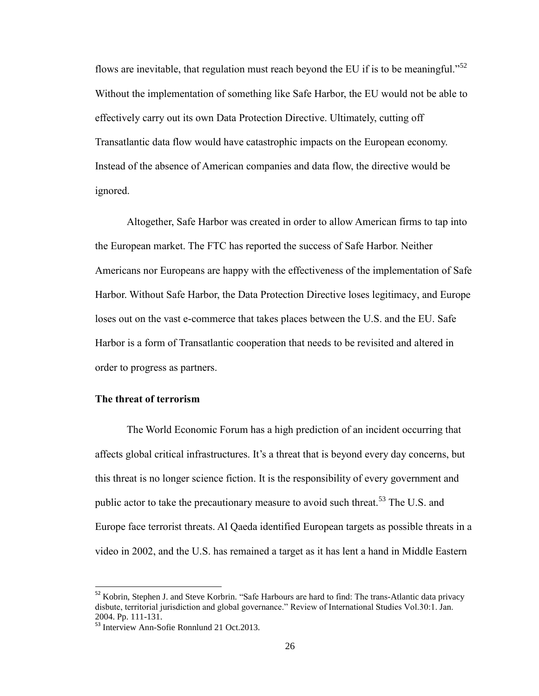flows are inevitable, that regulation must reach beyond the EU if is to be meaningful."<sup>52</sup> Without the implementation of something like Safe Harbor, the EU would not be able to effectively carry out its own Data Protection Directive. Ultimately, cutting off Transatlantic data flow would have catastrophic impacts on the European economy. Instead of the absence of American companies and data flow, the directive would be ignored.

Altogether, Safe Harbor was created in order to allow American firms to tap into the European market. The FTC has reported the success of Safe Harbor. Neither Americans nor Europeans are happy with the effectiveness of the implementation of Safe Harbor. Without Safe Harbor, the Data Protection Directive loses legitimacy, and Europe loses out on the vast e-commerce that takes places between the U.S. and the EU. Safe Harbor is a form of Transatlantic cooperation that needs to be revisited and altered in order to progress as partners.

## **The threat of terrorism**

 $\overline{\phantom{0}}$ 

The World Economic Forum has a high prediction of an incident occurring that affects global critical infrastructures. It's a threat that is beyond every day concerns, but this threat is no longer science fiction. It is the responsibility of every government and public actor to take the precautionary measure to avoid such threat.<sup>53</sup> The U.S. and Europe face terrorist threats. Al Qaeda identified European targets as possible threats in a video in 2002, and the U.S. has remained a target as it has lent a hand in Middle Eastern

<sup>&</sup>lt;sup>52</sup> Kobrin, Stephen J. and Steve Korbrin. "Safe Harbours are hard to find: The trans-Atlantic data privacy disbute, territorial jurisdiction and global governance." Review of International Studies Vol.30:1. Jan. 2004. Pp. 111-131.

<sup>&</sup>lt;sup>53</sup> Interview Ann-Sofie Ronnlund 21 Oct.2013.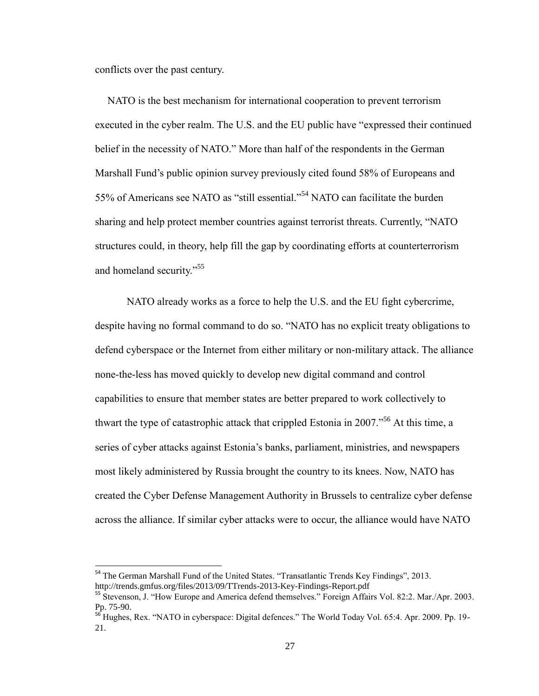conflicts over the past century.

 $\overline{\phantom{0}}$ 

NATO is the best mechanism for international cooperation to prevent terrorism executed in the cyber realm. The U.S. and the EU public have "expressed their continued belief in the necessity of NATO." More than half of the respondents in the German Marshall Fund's public opinion survey previously cited found 58% of Europeans and 55% of Americans see NATO as "still essential."<sup>54</sup> NATO can facilitate the burden sharing and help protect member countries against terrorist threats. Currently, "NATO structures could, in theory, help fill the gap by coordinating efforts at counterterrorism and homeland security."<sup>55</sup>

NATO already works as a force to help the U.S. and the EU fight cybercrime, despite having no formal command to do so. "NATO has no explicit treaty obligations to defend cyberspace or the Internet from either military or non-military attack. The alliance none-the-less has moved quickly to develop new digital command and control capabilities to ensure that member states are better prepared to work collectively to thwart the type of catastrophic attack that crippled Estonia in 2007.<sup> $56$ </sup> At this time, a series of cyber attacks against Estonia's banks, parliament, ministries, and newspapers most likely administered by Russia brought the country to its knees. Now, NATO has created the Cyber Defense Management Authority in Brussels to centralize cyber defense across the alliance. If similar cyber attacks were to occur, the alliance would have NATO

<sup>&</sup>lt;sup>54</sup> The German Marshall Fund of the United States. "Transatlantic Trends Key Findings", 2013. http://trends.gmfus.org/files/2013/09/TTrends-2013-Key-Findings-Report.pdf

<sup>55</sup> Stevenson, J. "How Europe and America defend themselves." Foreign Affairs Vol. 82:2. Mar./Apr. 2003. Pp. 75-90.

<sup>&</sup>lt;sup>56</sup> Hughes, Rex. "NATO in cyberspace: Digital defences." The World Today Vol. 65:4. Apr. 2009. Pp. 19-21.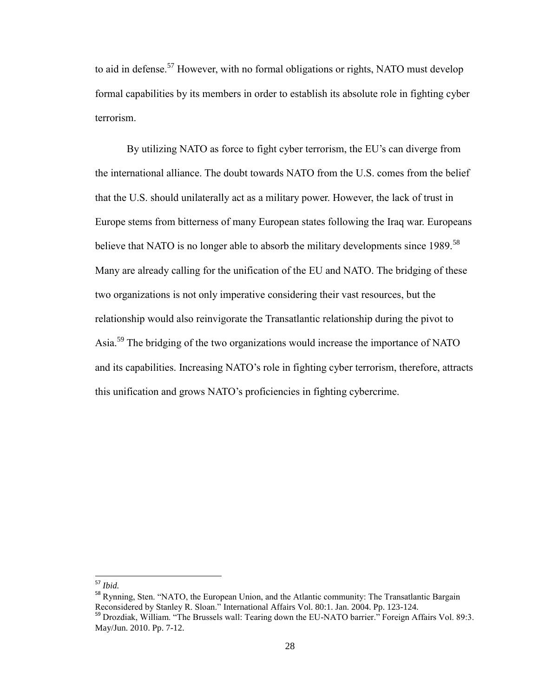to aid in defense.<sup>57</sup> However, with no formal obligations or rights, NATO must develop formal capabilities by its members in order to establish its absolute role in fighting cyber terrorism.

By utilizing NATO as force to fight cyber terrorism, the EU's can diverge from the international alliance. The doubt towards NATO from the U.S. comes from the belief that the U.S. should unilaterally act as a military power. However, the lack of trust in Europe stems from bitterness of many European states following the Iraq war. Europeans believe that NATO is no longer able to absorb the military developments since 1989.<sup>58</sup> Many are already calling for the unification of the EU and NATO. The bridging of these two organizations is not only imperative considering their vast resources, but the relationship would also reinvigorate the Transatlantic relationship during the pivot to Asia.<sup>59</sup> The bridging of the two organizations would increase the importance of NATO and its capabilities. Increasing NATO's role in fighting cyber terrorism, therefore, attracts this unification and grows NATO's proficiencies in fighting cybercrime.

<sup>57</sup> *Ibid.*

<sup>&</sup>lt;sup>58</sup> Rynning, Sten. "NATO, the European Union, and the Atlantic community: The Transatlantic Bargain Reconsidered by Stanley R. Sloan." International Affairs Vol. 80:1. Jan. 2004. Pp. 123-124.

<sup>&</sup>lt;sup>59</sup> Drozdiak, William. "The Brussels wall: Tearing down the EU-NATO barrier." Foreign Affairs Vol. 89:3. May/Jun. 2010. Pp. 7-12.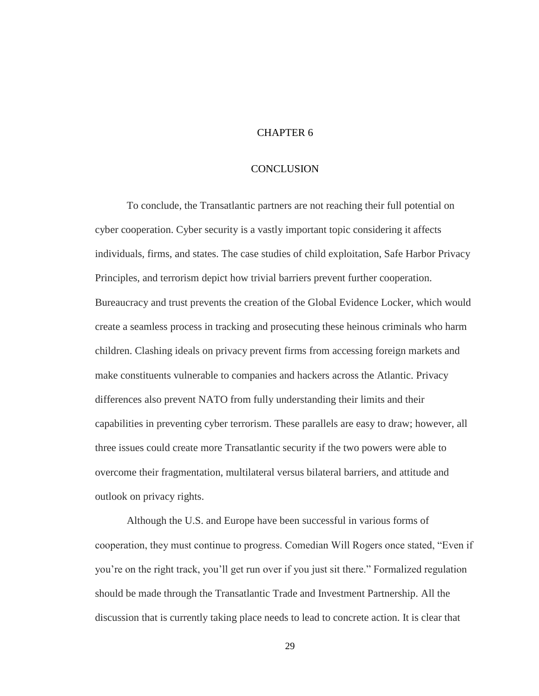# CHAPTER 6

#### **CONCLUSION**

To conclude, the Transatlantic partners are not reaching their full potential on cyber cooperation. Cyber security is a vastly important topic considering it affects individuals, firms, and states. The case studies of child exploitation, Safe Harbor Privacy Principles, and terrorism depict how trivial barriers prevent further cooperation. Bureaucracy and trust prevents the creation of the Global Evidence Locker, which would create a seamless process in tracking and prosecuting these heinous criminals who harm children. Clashing ideals on privacy prevent firms from accessing foreign markets and make constituents vulnerable to companies and hackers across the Atlantic. Privacy differences also prevent NATO from fully understanding their limits and their capabilities in preventing cyber terrorism. These parallels are easy to draw; however, all three issues could create more Transatlantic security if the two powers were able to overcome their fragmentation, multilateral versus bilateral barriers, and attitude and outlook on privacy rights.

Although the U.S. and Europe have been successful in various forms of cooperation, they must continue to progress. Comedian Will Rogers once stated, "Even if you're on the right track, you'll get run over if you just sit there." Formalized regulation should be made through the Transatlantic Trade and Investment Partnership. All the discussion that is currently taking place needs to lead to concrete action. It is clear that